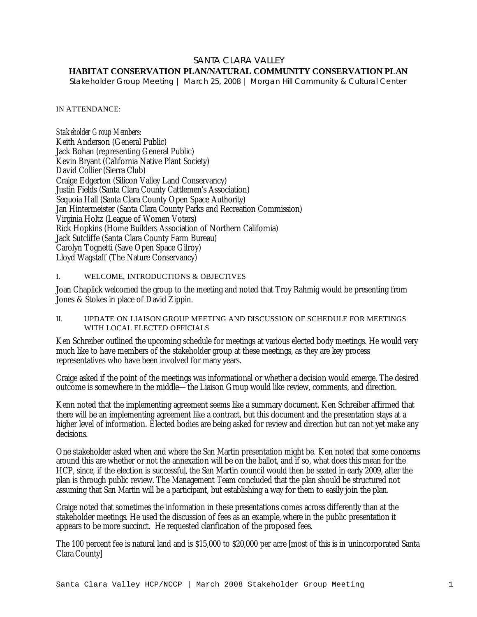# SANTA CLARA VALLEY

# **HABITAT CONSERVATION PLAN/NATURAL COMMUNITY CONSERVATION PLAN**

*Stakeholder Group Meeting | March 25, 2008 | Morgan Hill Community & Cultural Center*

#### IN ATTENDANCE:

*Stakeholder Group Members:* Keith Anderson (General Public) Jack Bohan (representing General Public) Kevin Bryant (California Native Plant Society) David Collier (Sierra Club) Craige Edgerton (Silicon Valley Land Conservancy) Justin Fields (Santa Clara County Cattlemen's Association) Sequoia Hall (Santa Clara County Open Space Authority) Jan Hintermeister (Santa Clara County Parks and Recreation Commission) Virginia Holtz (League of Women Voters) Rick Hopkins (Home Builders Association of Northern California) Jack Sutcliffe (Santa Clara County Farm Bureau) Carolyn Tognetti (Save Open Space Gilroy) Lloyd Wagstaff (The Nature Conservancy)

#### I. WELCOME, INTRODUCTIONS & OBJECTIVES

Joan Chaplick welcomed the group to the meeting and noted that Troy Rahmig would be presenting from Jones & Stokes in place of David Zippin.

### II. UPDATE ON LIAISON GROUP MEETING AND DISCUSSION OF SCHEDULE FOR MEETINGS WITH LOCAL ELECTED OFFICIALS

Ken Schreiber outlined the upcoming schedule for meetings at various elected body meetings. He would very much like to have members of the stakeholder group at these meetings, as they are key process representatives who have been involved for many years.

Craige asked if the point of the meetings was informational or whether a decision would emerge. The desired outcome is somewhere in the middle—the Liaison Group would like review, comments, and direction.

Kenn noted that the implementing agreement seems like a summary document. Ken Schreiber affirmed that there will be an implementing agreement like a contract, but this document and the presentation stays at a higher level of information. Elected bodies are being asked for review and direction but can not yet make any decisions.

One stakeholder asked when and where the San Martin presentation might be. Ken noted that some concerns around this are whether or not the annexation will be on the ballot, and if so, what does this mean for the HCP, since, if the election is successful, the San Martin council would then be seated in early 2009, after the plan is through public review. The Management Team concluded that the plan should be structured not assuming that San Martin will be a participant, but establishing a way for them to easily join the plan.

Craige noted that sometimes the information in these presentations comes across differently than at the stakeholder meetings. He used the discussion of fees as an example, where in the public presentation it appears to be more succinct. He requested clarification of the proposed fees.

The 100 percent fee is natural land and is \$15,000 to \$20,000 per acre [most of this is in unincorporated Santa Clara County]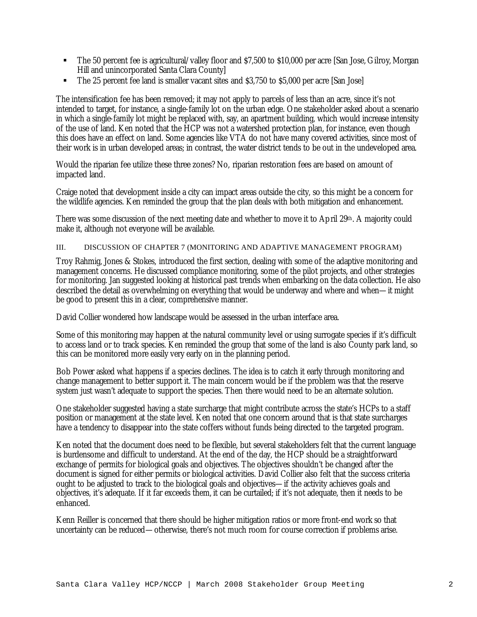- ß The 50 percent fee is agricultural/valley floor and \$7,500 to \$10,000 per acre [San Jose, Gilroy, Morgan Hill and unincorporated Santa Clara County]
- ß The 25 percent fee land is smaller vacant sites and \$3,750 to \$5,000 per acre [San Jose]

The intensification fee has been removed; it may not apply to parcels of less than an acre, since it's not intended to target, for instance, a single-family lot on the urban edge. One stakeholder asked about a scenario in which a single-family lot might be replaced with, say, an apartment building, which would increase intensity of the use of land. Ken noted that the HCP was not a watershed protection plan, for instance, even though this does have an effect on land. Some agencies like VTA do not have many covered activities, since most of their work is in urban developed areas; in contrast, the water district tends to be out in the undeveloped area.

Would the riparian fee utilize these three zones? No, riparian restoration fees are based on amount of impacted land.

Craige noted that development inside a city can impact areas outside the city, so this might be a concern for the wildlife agencies. Ken reminded the group that the plan deals with both mitigation and enhancement.

There was some discussion of the next meeting date and whether to move it to April 29th. A majority could make it, although not everyone will be available.

### III. DISCUSSION OF CHAPTER 7 (MONITORING AND ADAPTIVE MANAGEMENT PROGRAM)

Troy Rahmig, Jones & Stokes, introduced the first section, dealing with some of the adaptive monitoring and management concerns. He discussed compliance monitoring, some of the pilot projects, and other strategies for monitoring. Jan suggested looking at historical past trends when embarking on the data collection. He also described the detail as overwhelming on everything that would be underway and where and when—it might be good to present this in a clear, comprehensive manner.

David Collier wondered how landscape would be assessed in the urban interface area.

Some of this monitoring may happen at the natural community level or using surrogate species if it's difficult to access land or to track species. Ken reminded the group that some of the land is also County park land, so this can be monitored more easily very early on in the planning period.

Bob Power asked what happens if a species declines. The idea is to catch it early through monitoring and change management to better support it. The main concern would be if the problem was that the reserve system just wasn't adequate to support the species. Then there would need to be an alternate solution.

One stakeholder suggested having a state surcharge that might contribute across the state's HCPs to a staff position or management at the state level. Ken noted that one concern around that is that state surcharges have a tendency to disappear into the state coffers without funds being directed to the targeted program.

Ken noted that the document does need to be flexible, but several stakeholders felt that the current language is burdensome and difficult to understand. At the end of the day, the HCP should be a straightforward exchange of permits for biological goals and objectives. The objectives shouldn't be changed after the document is signed for either permits or biological activities. David Collier also felt that the success criteria ought to be adjusted to track to the biological goals and objectives—if the activity achieves goals and objectives, it's adequate. If it far exceeds them, it can be curtailed; if it's not adequate, then it needs to be enhanced.

Kenn Reiller is concerned that there should be higher mitigation ratios or more front-end work so that uncertainty can be reduced—otherwise, there's not much room for course correction if problems arise.